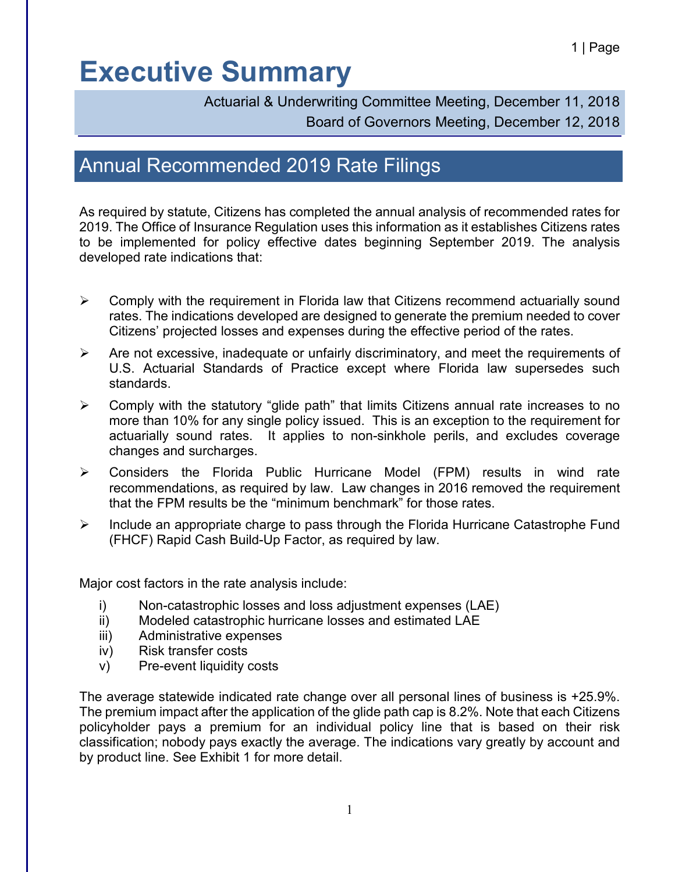Actuarial & Underwriting Committee Meeting, December 11, 2018 Board of Governors Meeting, December 12, 2018

### Annual Recommended 2019 Rate Filings

As required by statute, Citizens has completed the annual analysis of recommended rates for 2019. The Office of Insurance Regulation uses this information as it establishes Citizens rates to be implemented for policy effective dates beginning September 2019. The analysis developed rate indications that:

- $\triangleright$  Comply with the requirement in Florida law that Citizens recommend actuarially sound rates. The indications developed are designed to generate the premium needed to cover Citizens' projected losses and expenses during the effective period of the rates.
- $\triangleright$  Are not excessive, inadequate or unfairly discriminatory, and meet the requirements of U.S. Actuarial Standards of Practice except where Florida law supersedes such standards.
- $\triangleright$  Comply with the statutory "glide path" that limits Citizens annual rate increases to no more than 10% for any single policy issued. This is an exception to the requirement for actuarially sound rates. It applies to non-sinkhole perils, and excludes coverage changes and surcharges.
- Considers the Florida Public Hurricane Model (FPM) results in wind rate recommendations, as required by law. Law changes in 2016 removed the requirement that the FPM results be the "minimum benchmark" for those rates.
- $\triangleright$  Include an appropriate charge to pass through the Florida Hurricane Catastrophe Fund (FHCF) Rapid Cash Build-Up Factor, as required by law.

Major cost factors in the rate analysis include:

- i) Non-catastrophic losses and loss adjustment expenses (LAE)
- ii) Modeled catastrophic hurricane losses and estimated LAE
- iii) Administrative expenses
- iv) Risk transfer costs
- v) Pre-event liquidity costs

The average statewide indicated rate change over all personal lines of business is +25.9%. The premium impact after the application of the glide path cap is 8.2%. Note that each Citizens policyholder pays a premium for an individual policy line that is based on their risk classification; nobody pays exactly the average. The indications vary greatly by account and by product line. See Exhibit 1 for more detail.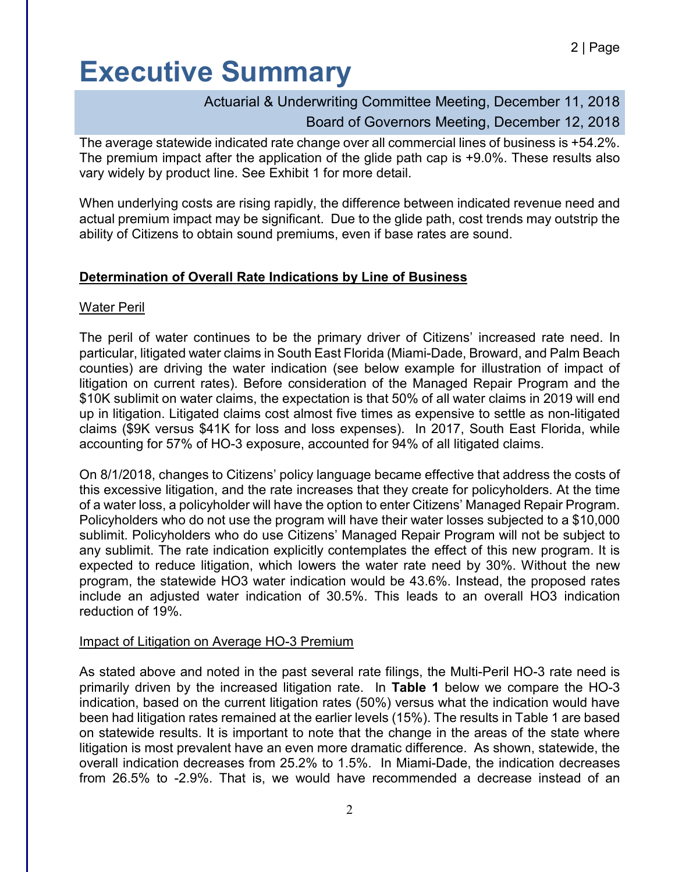### Actuarial & Underwriting Committee Meeting, December 11, 2018

#### Board of Governors Meeting, December 12, 2018

The average statewide indicated rate change over all commercial lines of business is +54.2%. The premium impact after the application of the glide path cap is +9.0%. These results also vary widely by product line. See Exhibit 1 for more detail.

When underlying costs are rising rapidly, the difference between indicated revenue need and actual premium impact may be significant. Due to the glide path, cost trends may outstrip the ability of Citizens to obtain sound premiums, even if base rates are sound.

#### **Determination of Overall Rate Indications by Line of Business**

#### Water Peril

The peril of water continues to be the primary driver of Citizens' increased rate need. In particular, litigated water claims in South East Florida (Miami-Dade, Broward, and Palm Beach counties) are driving the water indication (see below example for illustration of impact of litigation on current rates). Before consideration of the Managed Repair Program and the \$10K sublimit on water claims, the expectation is that 50% of all water claims in 2019 will end up in litigation. Litigated claims cost almost five times as expensive to settle as non-litigated claims (\$9K versus \$41K for loss and loss expenses). In 2017, South East Florida, while accounting for 57% of HO-3 exposure, accounted for 94% of all litigated claims.

On 8/1/2018, changes to Citizens' policy language became effective that address the costs of this excessive litigation, and the rate increases that they create for policyholders. At the time of a water loss, a policyholder will have the option to enter Citizens' Managed Repair Program. Policyholders who do not use the program will have their water losses subjected to a \$10,000 sublimit. Policyholders who do use Citizens' Managed Repair Program will not be subject to any sublimit. The rate indication explicitly contemplates the effect of this new program. It is expected to reduce litigation, which lowers the water rate need by 30%. Without the new program, the statewide HO3 water indication would be 43.6%. Instead, the proposed rates include an adjusted water indication of 30.5%. This leads to an overall HO3 indication reduction of 19%.

#### Impact of Litigation on Average HO-3 Premium

As stated above and noted in the past several rate filings, the Multi-Peril HO-3 rate need is primarily driven by the increased litigation rate. In **Table 1** below we compare the HO-3 indication, based on the current litigation rates (50%) versus what the indication would have been had litigation rates remained at the earlier levels (15%). The results in Table 1 are based on statewide results. It is important to note that the change in the areas of the state where litigation is most prevalent have an even more dramatic difference. As shown, statewide, the overall indication decreases from 25.2% to 1.5%. In Miami-Dade, the indication decreases from 26.5% to -2.9%. That is, we would have recommended a decrease instead of an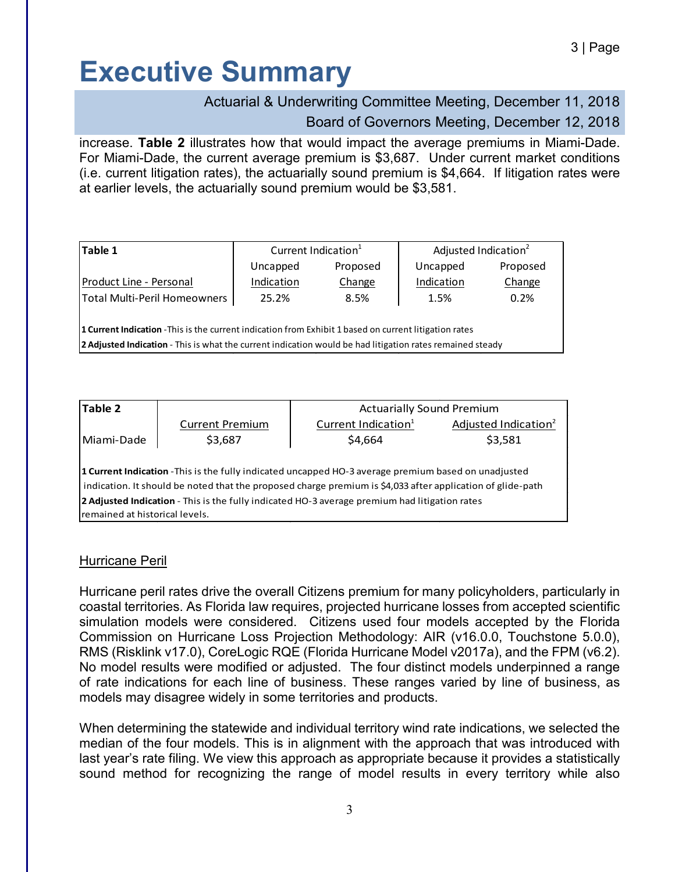### Actuarial & Underwriting Committee Meeting, December 11, 2018

### Board of Governors Meeting, December 12, 2018

increase. **Table 2** illustrates how that would impact the average premiums in Miami-Dade. For Miami-Dade, the current average premium is \$3,687. Under current market conditions (i.e. current litigation rates), the actuarially sound premium is \$4,664. If litigation rates were at earlier levels, the actuarially sound premium would be \$3,581.

| Table 1                                                                                                       | Current Indication <sup>1</sup> |          | Adjusted Indication <sup>2</sup> |          |  |
|---------------------------------------------------------------------------------------------------------------|---------------------------------|----------|----------------------------------|----------|--|
|                                                                                                               | Uncapped                        | Proposed | Uncapped                         | Proposed |  |
| Product Line - Personal                                                                                       | Indication                      | Change   | Indication                       | Change   |  |
| Total Multi-Peril Homeowners                                                                                  | 25.2%                           | 8.5%     | 1.5%                             | 0.2%     |  |
|                                                                                                               |                                 |          |                                  |          |  |
| <b>1 Current Indication</b> - This is the current indication from Exhibit 1 based on current litigation rates |                                 |          |                                  |          |  |

**2 Adjusted Indication** - This is what the current indication would be had litigation rates remained steady

| Table 2                                                                                                     |                        | <b>Actuarially Sound Premium</b> |                                  |  |  |  |
|-------------------------------------------------------------------------------------------------------------|------------------------|----------------------------------|----------------------------------|--|--|--|
|                                                                                                             | <b>Current Premium</b> | Current Indication <sup>1</sup>  | Adjusted Indication <sup>2</sup> |  |  |  |
| Miami-Dade                                                                                                  | \$3,687                | \$4,664                          | \$3,581                          |  |  |  |
|                                                                                                             |                        |                                  |                                  |  |  |  |
| <b>1 Current Indication</b> - This is the fully indicated uncapped HO-3 average premium based on unadjusted |                        |                                  |                                  |  |  |  |
| indication. It should be noted that the proposed charge premium is \$4,033 after application of glide-path  |                        |                                  |                                  |  |  |  |
| 2 Adjusted Indication - This is the fully indicated HO-3 average premium had litigation rates               |                        |                                  |                                  |  |  |  |
| Iremained at historical levels.                                                                             |                        |                                  |                                  |  |  |  |

#### Hurricane Peril

Hurricane peril rates drive the overall Citizens premium for many policyholders, particularly in coastal territories. As Florida law requires, projected hurricane losses from accepted scientific simulation models were considered. Citizens used four models accepted by the Florida Commission on Hurricane Loss Projection Methodology: AIR (v16.0.0, Touchstone 5.0.0), RMS (Risklink v17.0), CoreLogic RQE (Florida Hurricane Model v2017a), and the FPM (v6.2). No model results were modified or adjusted. The four distinct models underpinned a range of rate indications for each line of business. These ranges varied by line of business, as models may disagree widely in some territories and products.

When determining the statewide and individual territory wind rate indications, we selected the median of the four models. This is in alignment with the approach that was introduced with last year's rate filing. We view this approach as appropriate because it provides a statistically sound method for recognizing the range of model results in every territory while also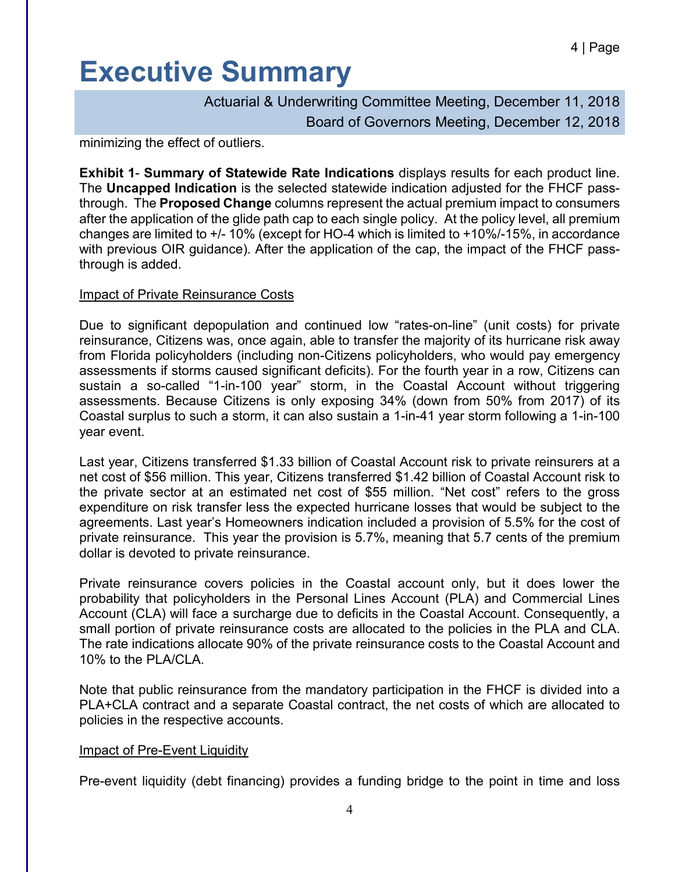Actuarial & Underwriting Committee Meeting, December 11, 2018 Board of Governors Meeting, December 12, 2018

minimizing the effect of outliers.

**Exhibit 1**- **Summary of Statewide Rate Indications** displays results for each product line. The **Uncapped Indication** is the selected statewide indication adjusted for the FHCF passthrough. The **Proposed Change** columns represent the actual premium impact to consumers after the application of the glide path cap to each single policy. At the policy level, all premium changes are limited to +/- 10% (except for HO-4 which is limited to +10%/-15%, in accordance with previous OIR guidance). After the application of the cap, the impact of the FHCF passthrough is added.

#### Impact of Private Reinsurance Costs

Due to significant depopulation and continued low "rates-on-line" (unit costs) for private reinsurance, Citizens was, once again, able to transfer the majority of its hurricane risk away from Florida policyholders (including non-Citizens policyholders, who would pay emergency assessments if storms caused significant deficits). For the fourth year in a row, Citizens can sustain a so-called "1-in-100 year" storm, in the Coastal Account without triggering assessments. Because Citizens is only exposing 34% (down from 50% from 2017) of its Coastal surplus to such a storm, it can also sustain a 1-in-41 year storm following a 1-in-100 year event.

Last year, Citizens transferred \$1.33 billion of Coastal Account risk to private reinsurers at a net cost of \$56 million. This year, Citizens transferred \$1.42 billion of Coastal Account risk to the private sector at an estimated net cost of \$55 million. "Net cost" refers to the gross expenditure on risk transfer less the expected hurricane losses that would be subject to the agreements. Last year's Homeowners indication included a provision of 5.5% for the cost of private reinsurance. This year the provision is 5.7%, meaning that 5.7 cents of the premium dollar is devoted to private reinsurance.

Private reinsurance covers policies in the Coastal account only, but it does lower the probability that policyholders in the Personal Lines Account (PLA) and Commercial Lines Account (CLA) will face a surcharge due to deficits in the Coastal Account. Consequently, a small portion of private reinsurance costs are allocated to the policies in the PLA and CLA. The rate indications allocate 90% of the private reinsurance costs to the Coastal Account and 10% to the PLA/CLA.

Note that public reinsurance from the mandatory participation in the FHCF is divided into a PLA+CLA contract and a separate Coastal contract, the net costs of which are allocated to policies in the respective accounts.

#### Impact of Pre-Event Liquidity

Pre-event liquidity (debt financing) provides a funding bridge to the point in time and loss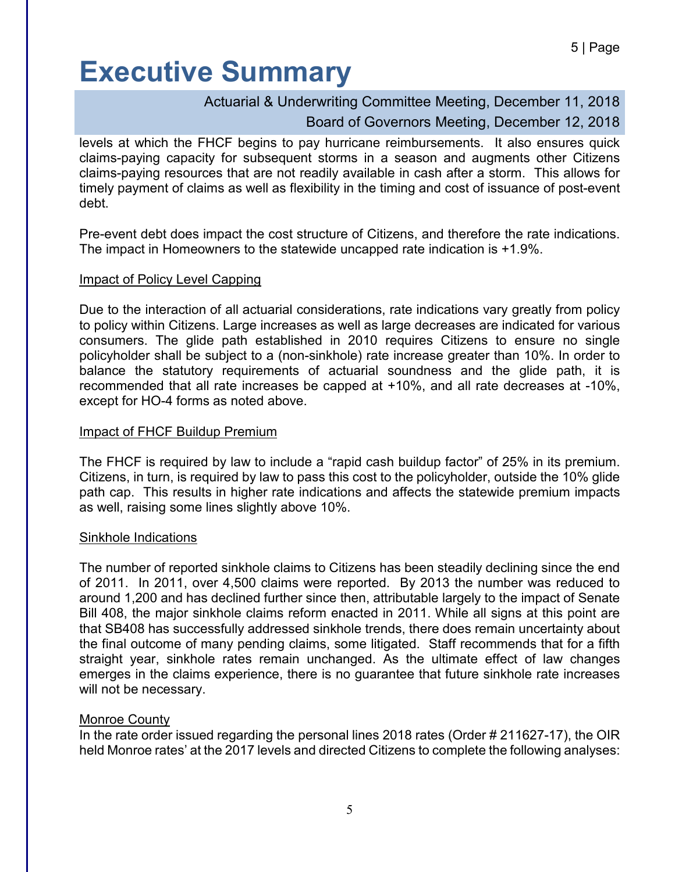### Actuarial & Underwriting Committee Meeting, December 11, 2018

### Board of Governors Meeting, December 12, 2018

levels at which the FHCF begins to pay hurricane reimbursements. It also ensures quick claims-paying capacity for subsequent storms in a season and augments other Citizens claims-paying resources that are not readily available in cash after a storm. This allows for timely payment of claims as well as flexibility in the timing and cost of issuance of post-event debt.

Pre-event debt does impact the cost structure of Citizens, and therefore the rate indications. The impact in Homeowners to the statewide uncapped rate indication is +1.9%.

#### Impact of Policy Level Capping

Due to the interaction of all actuarial considerations, rate indications vary greatly from policy to policy within Citizens. Large increases as well as large decreases are indicated for various consumers. The glide path established in 2010 requires Citizens to ensure no single policyholder shall be subject to a (non-sinkhole) rate increase greater than 10%. In order to balance the statutory requirements of actuarial soundness and the glide path, it is recommended that all rate increases be capped at +10%, and all rate decreases at -10%, except for HO-4 forms as noted above.

#### Impact of FHCF Buildup Premium

The FHCF is required by law to include a "rapid cash buildup factor" of 25% in its premium. Citizens, in turn, is required by law to pass this cost to the policyholder, outside the 10% glide path cap. This results in higher rate indications and affects the statewide premium impacts as well, raising some lines slightly above 10%.

#### Sinkhole Indications

The number of reported sinkhole claims to Citizens has been steadily declining since the end of 2011. In 2011, over 4,500 claims were reported. By 2013 the number was reduced to around 1,200 and has declined further since then, attributable largely to the impact of Senate Bill 408, the major sinkhole claims reform enacted in 2011. While all signs at this point are that SB408 has successfully addressed sinkhole trends, there does remain uncertainty about the final outcome of many pending claims, some litigated. Staff recommends that for a fifth straight year, sinkhole rates remain unchanged. As the ultimate effect of law changes emerges in the claims experience, there is no guarantee that future sinkhole rate increases will not be necessary.

#### Monroe County

In the rate order issued regarding the personal lines 2018 rates (Order # 211627-17), the OIR held Monroe rates' at the 2017 levels and directed Citizens to complete the following analyses: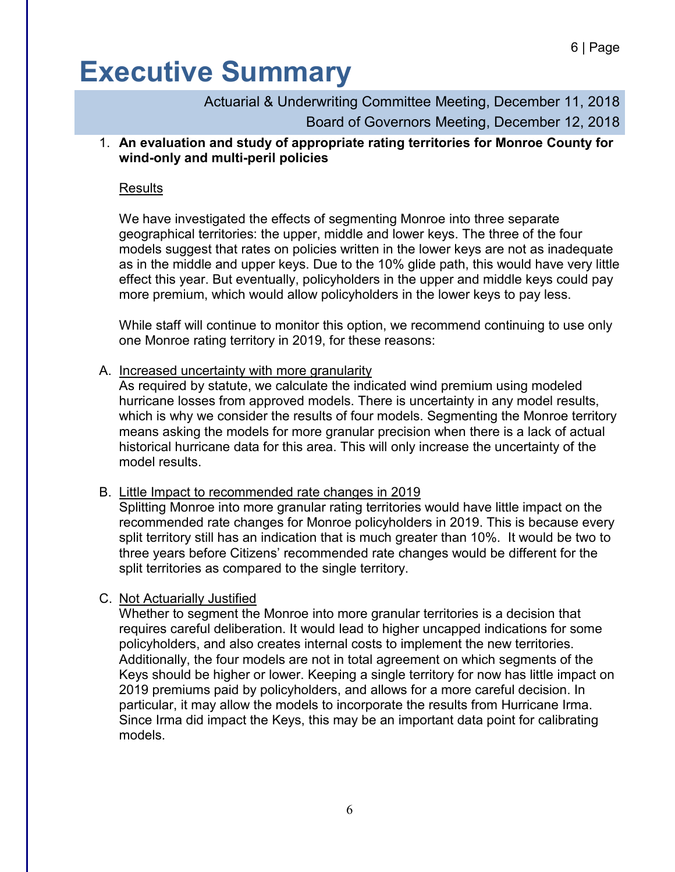Actuarial & Underwriting Committee Meeting, December 11, 2018 Board of Governors Meeting, December 12, 2018

1. **An evaluation and study of appropriate rating territories for Monroe County for wind-only and multi-peril policies**

#### Results

We have investigated the effects of segmenting Monroe into three separate geographical territories: the upper, middle and lower keys. The three of the four models suggest that rates on policies written in the lower keys are not as inadequate as in the middle and upper keys. Due to the 10% glide path, this would have very little effect this year. But eventually, policyholders in the upper and middle keys could pay more premium, which would allow policyholders in the lower keys to pay less.

While staff will continue to monitor this option, we recommend continuing to use only one Monroe rating territory in 2019, for these reasons:

#### A. Increased uncertainty with more granularity

As required by statute, we calculate the indicated wind premium using modeled hurricane losses from approved models. There is uncertainty in any model results, which is why we consider the results of four models. Segmenting the Monroe territory means asking the models for more granular precision when there is a lack of actual historical hurricane data for this area. This will only increase the uncertainty of the model results.

#### B. Little Impact to recommended rate changes in 2019

Splitting Monroe into more granular rating territories would have little impact on the recommended rate changes for Monroe policyholders in 2019. This is because every split territory still has an indication that is much greater than 10%. It would be two to three years before Citizens' recommended rate changes would be different for the split territories as compared to the single territory.

#### C. Not Actuarially Justified

Whether to segment the Monroe into more granular territories is a decision that requires careful deliberation. It would lead to higher uncapped indications for some policyholders, and also creates internal costs to implement the new territories. Additionally, the four models are not in total agreement on which segments of the Keys should be higher or lower. Keeping a single territory for now has little impact on 2019 premiums paid by policyholders, and allows for a more careful decision. In particular, it may allow the models to incorporate the results from Hurricane Irma. Since Irma did impact the Keys, this may be an important data point for calibrating models.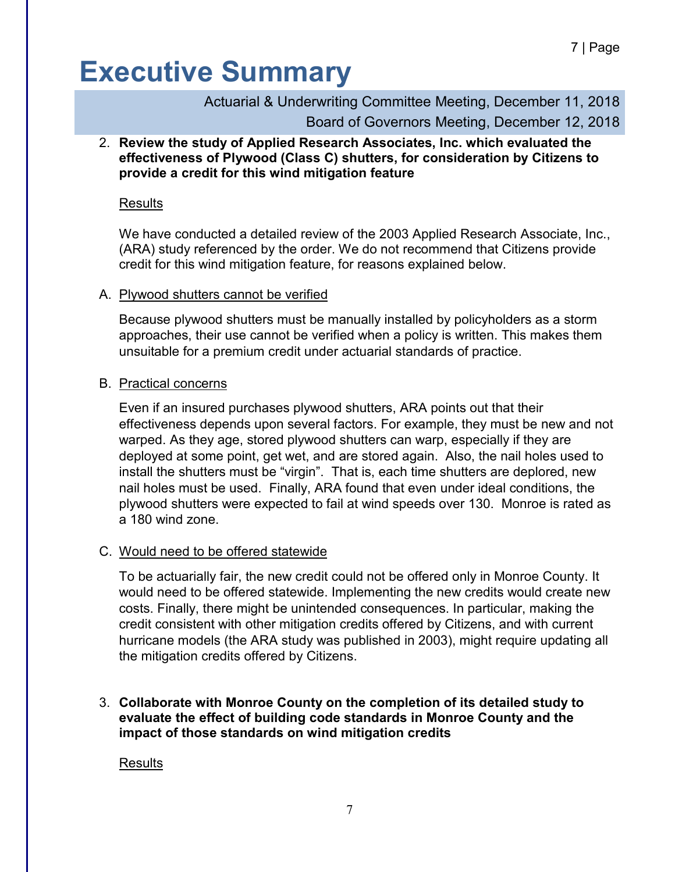Actuarial & Underwriting Committee Meeting, December 11, 2018 Board of Governors Meeting, December 12, 2018

2. **Review the study of Applied Research Associates, Inc. which evaluated the effectiveness of Plywood (Class C) shutters, for consideration by Citizens to provide a credit for this wind mitigation feature**

#### Results

We have conducted a detailed review of the 2003 Applied Research Associate, Inc., (ARA) study referenced by the order. We do not recommend that Citizens provide credit for this wind mitigation feature, for reasons explained below.

#### A. Plywood shutters cannot be verified

Because plywood shutters must be manually installed by policyholders as a storm approaches, their use cannot be verified when a policy is written. This makes them unsuitable for a premium credit under actuarial standards of practice.

#### B. Practical concerns

Even if an insured purchases plywood shutters, ARA points out that their effectiveness depends upon several factors. For example, they must be new and not warped. As they age, stored plywood shutters can warp, especially if they are deployed at some point, get wet, and are stored again. Also, the nail holes used to install the shutters must be "virgin". That is, each time shutters are deplored, new nail holes must be used. Finally, ARA found that even under ideal conditions, the plywood shutters were expected to fail at wind speeds over 130. Monroe is rated as a 180 wind zone.

#### C. Would need to be offered statewide

To be actuarially fair, the new credit could not be offered only in Monroe County. It would need to be offered statewide. Implementing the new credits would create new costs. Finally, there might be unintended consequences. In particular, making the credit consistent with other mitigation credits offered by Citizens, and with current hurricane models (the ARA study was published in 2003), might require updating all the mitigation credits offered by Citizens.

3. **Collaborate with Monroe County on the completion of its detailed study to evaluate the effect of building code standards in Monroe County and the impact of those standards on wind mitigation credits**

#### Results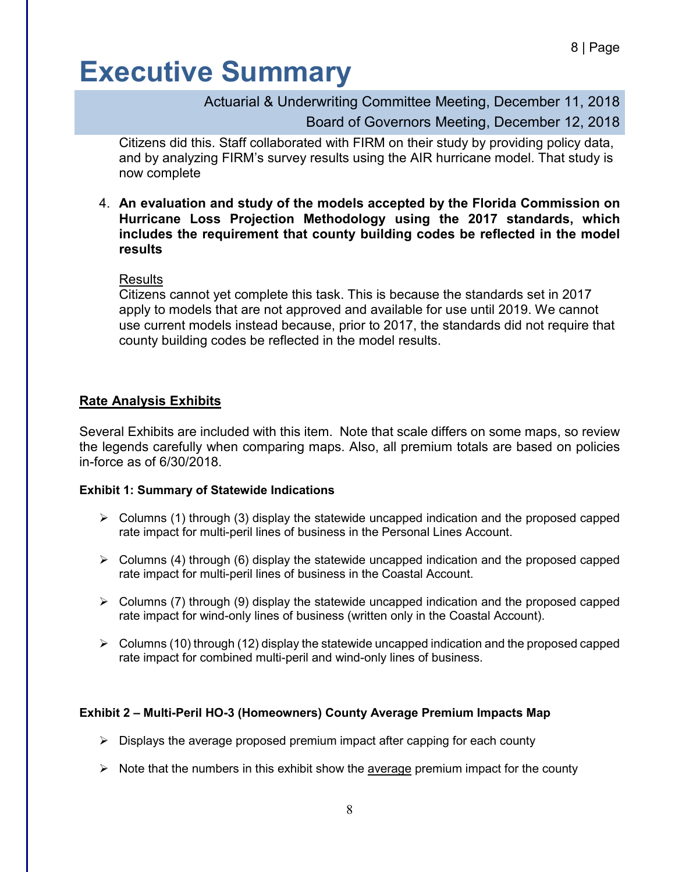Actuarial & Underwriting Committee Meeting, December 11, 2018

Board of Governors Meeting, December 12, 2018

Citizens did this. Staff collaborated with FIRM on their study by providing policy data, and by analyzing FIRM's survey results using the AIR hurricane model. That study is now complete

4. **An evaluation and study of the models accepted by the Florida Commission on Hurricane Loss Projection Methodology using the 2017 standards, which includes the requirement that county building codes be reflected in the model results**

Results

Citizens cannot yet complete this task. This is because the standards set in 2017 apply to models that are not approved and available for use until 2019. We cannot use current models instead because, prior to 2017, the standards did not require that county building codes be reflected in the model results.

#### **Rate Analysis Exhibits**

Several Exhibits are included with this item. Note that scale differs on some maps, so review the legends carefully when comparing maps. Also, all premium totals are based on policies in-force as of 6/30/2018.

#### **Exhibit 1: Summary of Statewide Indications**

- $\triangleright$  Columns (1) through (3) display the statewide uncapped indication and the proposed capped rate impact for multi-peril lines of business in the Personal Lines Account.
- $\triangleright$  Columns (4) through (6) display the statewide uncapped indication and the proposed capped rate impact for multi-peril lines of business in the Coastal Account.
- $\triangleright$  Columns (7) through (9) display the statewide uncapped indication and the proposed capped rate impact for wind-only lines of business (written only in the Coastal Account).
- $\triangleright$  Columns (10) through (12) display the statewide uncapped indication and the proposed capped rate impact for combined multi-peril and wind-only lines of business.

#### **Exhibit 2 – Multi-Peril HO-3 (Homeowners) County Average Premium Impacts Map**

- $\triangleright$  Displays the average proposed premium impact after capping for each county
- $\triangleright$  Note that the numbers in this exhibit show the average premium impact for the county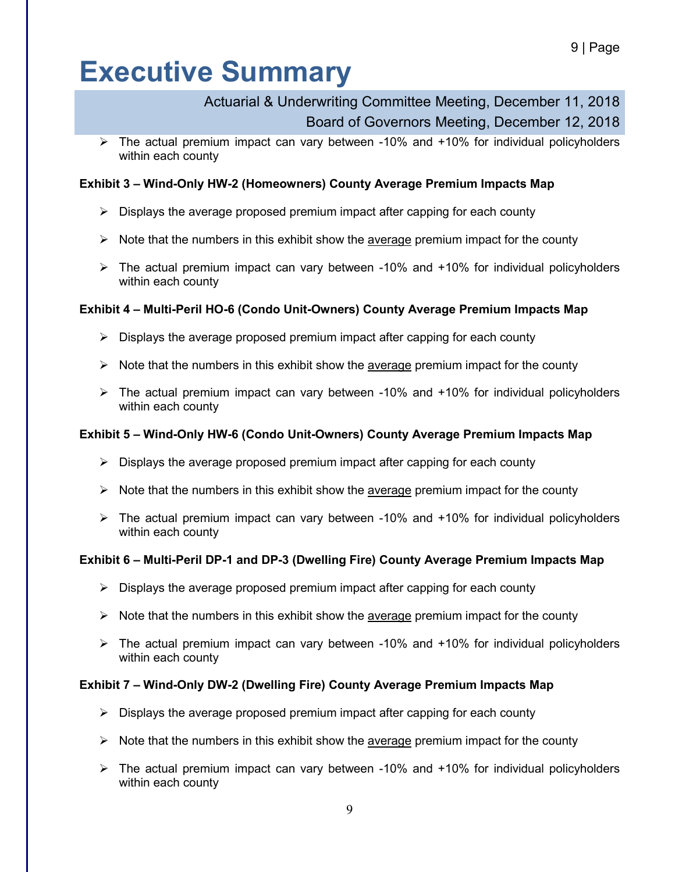### Actuarial & Underwriting Committee Meeting, December 11, 2018 Board of Governors Meeting, December 12, 2018

 $\triangleright$  The actual premium impact can vary between -10% and +10% for individual policyholders within each county

#### **Exhibit 3 – Wind-Only HW-2 (Homeowners) County Average Premium Impacts Map**

- $\triangleright$  Displays the average proposed premium impact after capping for each county
- $\triangleright$  Note that the numbers in this exhibit show the average premium impact for the county
- $\triangleright$  The actual premium impact can vary between -10% and +10% for individual policyholders within each county

#### **Exhibit 4 – Multi-Peril HO-6 (Condo Unit-Owners) County Average Premium Impacts Map**

- $\triangleright$  Displays the average proposed premium impact after capping for each county
- $\triangleright$  Note that the numbers in this exhibit show the average premium impact for the county
- $\triangleright$  The actual premium impact can vary between -10% and +10% for individual policyholders within each county

#### **Exhibit 5 – Wind-Only HW-6 (Condo Unit-Owners) County Average Premium Impacts Map**

- $\triangleright$  Displays the average proposed premium impact after capping for each county
- $\triangleright$  Note that the numbers in this exhibit show the average premium impact for the county
- $\triangleright$  The actual premium impact can vary between -10% and +10% for individual policyholders within each county

#### **Exhibit 6 – Multi-Peril DP-1 and DP-3 (Dwelling Fire) County Average Premium Impacts Map**

- $\triangleright$  Displays the average proposed premium impact after capping for each county
- $\triangleright$  Note that the numbers in this exhibit show the average premium impact for the county
- $\triangleright$  The actual premium impact can vary between -10% and +10% for individual policyholders within each county

#### **Exhibit 7 – Wind-Only DW-2 (Dwelling Fire) County Average Premium Impacts Map**

- $\triangleright$  Displays the average proposed premium impact after capping for each county
- $\triangleright$  Note that the numbers in this exhibit show the average premium impact for the county
- $\triangleright$  The actual premium impact can vary between -10% and +10% for individual policyholders within each county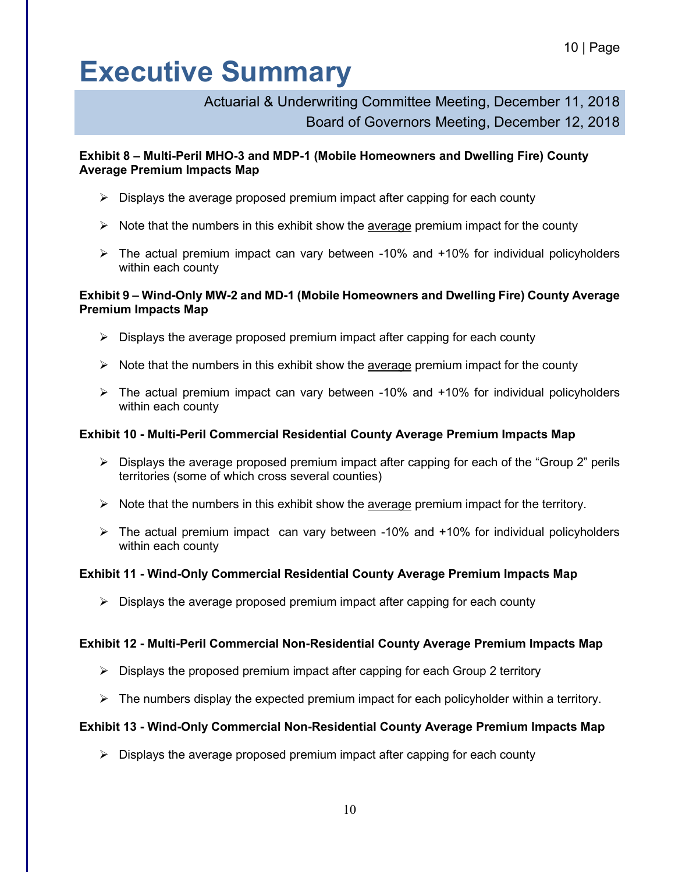### Actuarial & Underwriting Committee Meeting, December 11, 2018 Board of Governors Meeting, December 12, 2018

#### **Exhibit 8 – Multi-Peril MHO-3 and MDP-1 (Mobile Homeowners and Dwelling Fire) County Average Premium Impacts Map**

- $\triangleright$  Displays the average proposed premium impact after capping for each county
- $\triangleright$  Note that the numbers in this exhibit show the average premium impact for the county
- The actual premium impact can vary between -10% and +10% for individual policyholders within each county

#### **Exhibit 9 – Wind-Only MW-2 and MD-1 (Mobile Homeowners and Dwelling Fire) County Average Premium Impacts Map**

- $\triangleright$  Displays the average proposed premium impact after capping for each county
- $\triangleright$  Note that the numbers in this exhibit show the average premium impact for the county
- $\triangleright$  The actual premium impact can vary between -10% and +10% for individual policyholders within each county

#### **Exhibit 10 - Multi-Peril Commercial Residential County Average Premium Impacts Map**

- $\triangleright$  Displays the average proposed premium impact after capping for each of the "Group 2" perils territories (some of which cross several counties)
- $\triangleright$  Note that the numbers in this exhibit show the average premium impact for the territory.
- $\triangleright$  The actual premium impact can vary between -10% and +10% for individual policyholders within each county

#### **Exhibit 11 - Wind-Only Commercial Residential County Average Premium Impacts Map**

 $\triangleright$  Displays the average proposed premium impact after capping for each county

#### **Exhibit 12 - Multi-Peril Commercial Non-Residential County Average Premium Impacts Map**

- $\triangleright$  Displays the proposed premium impact after capping for each Group 2 territory
- $\triangleright$  The numbers display the expected premium impact for each policyholder within a territory.

#### **Exhibit 13 - Wind-Only Commercial Non-Residential County Average Premium Impacts Map**

 $\triangleright$  Displays the average proposed premium impact after capping for each county